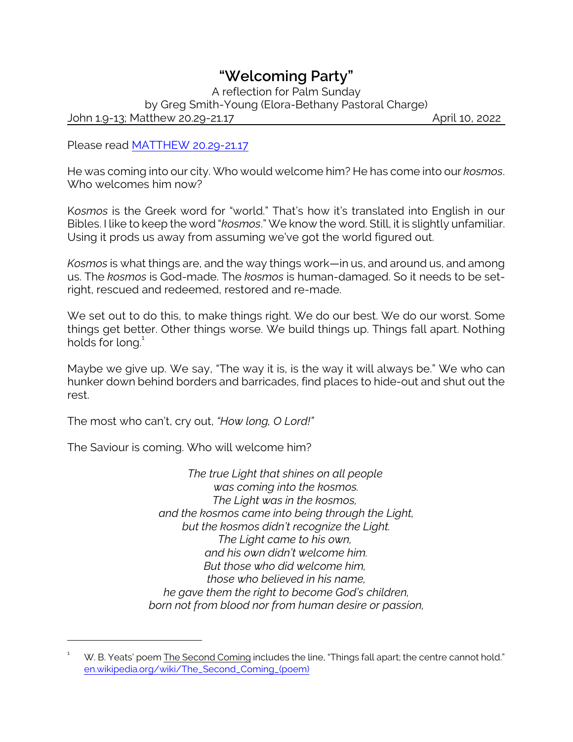## *"Welcoming Party"*

A reflection for Palm Sunday by Greg Smith-Young (Elora-Bethany Pastoral Charge) John 1.9-13; Matthew 20.29-21.17 April 10, 2022

Please read [MATTHEW 20.29-21.17](https://www.biblegateway.com/passage/?search=Matthew+20.29-21.17&version=NRSV)

He was coming into our city. Who would welcome him? He has come into our *kosmos*. Who welcomes him now?

K*osmos* is the Greek word for "world." That's how it's translated into English in our Bibles. I like to keep the word "*kosmos*." We know the word. Still, it is slightly unfamiliar. Using it prods us away from assuming we've got the world figured out.

*Kosmos* is what things are, and the way things work—in us, and around us, and among us. The *kosmos* is God-made. The *kosmos* is human-damaged. So it needs to be setright, rescued and redeemed, restored and re-made.

We set out to do this, to make things right. We do our best. We do our worst. Some things get better. Other things worse. We build things up. Things fall apart. Nothing holds for long.<sup>1</sup>

Maybe we give up. We say, "The way it is, is the way it will always be." We who can hunker down behind borders and barricades, find places to hide-out and shut out the rest.

The most who can't, cry out, *"How long, O Lord!"*

The Saviour is coming. Who will welcome him?

*The true Light that shines on all people was coming into the kosmos. The Light was in the kosmos, and the kosmos came into being through the Light, but the kosmos didn't recognize the Light. The Light came to his own, and his own didn't welcome him. But those who did welcome him, those who believed in his name, he gave them the right to become God's children, born not from blood nor from human desire or passion,*

 $1 - W$ . B. Yeats' poem The Second Coming includes the line, "Things fall apart; the centre cannot hold." [en.wikipedia.org/wiki/The\\_Second\\_Coming\\_\(poem\)](https://en.wikipedia.org/wiki/The_Second_Coming_(poem))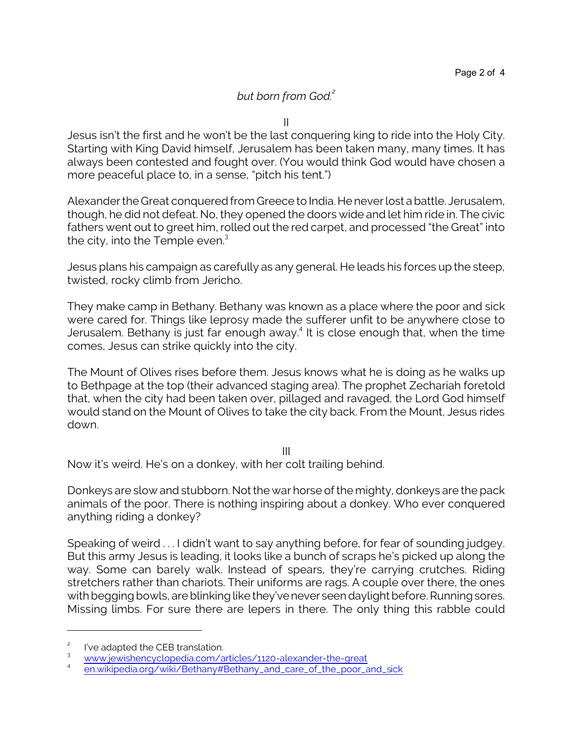## *but born from God.<sup>2</sup>*

II

Jesus isn't the first and he won't be the last conquering king to ride into the Holy City. Starting with King David himself, Jerusalem has been taken many, many times. It has always been contested and fought over. (You would think God would have chosen a more peaceful place to, in a sense, "pitch his tent.")

Alexander the Great conquered from Greece to India. He never lost a battle. Jerusalem, though, he did not defeat. No, they opened the doors wide and let him ride in. The civic fathers went out to greet him, rolled out the red carpet, and processed "the Great" into the city, into the Temple even.<sup>3</sup>

Jesus plans his campaign as carefully as any general. He leads his forces up the steep, twisted, rocky climb from Jericho.

They make camp in Bethany. Bethany was known as a place where the poor and sick were cared for. Things like leprosy made the sufferer unfit to be anywhere close to Jerusalem. Bethany is just far enough away.<sup>4</sup> It is close enough that, when the time comes, Jesus can strike quickly into the city.

The Mount of Olives rises before them. Jesus knows what he is doing as he walks up to Bethpage at the top (their advanced staging area). The prophet Zechariah foretold that, when the city had been taken over, pillaged and ravaged, the Lord God himself would stand on the Mount of Olives to take the city back. From the Mount, Jesus rides down.

III

Now it's weird. He's on a donkey, with her colt trailing behind.

Donkeys are slow and stubborn. Not the war horse of the mighty, donkeys are the pack animals of the poor. There is nothing inspiring about a donkey. Who ever conquered anything riding a donkey?

Speaking of weird . . . I didn't want to say anything before, for fear of sounding judgey. But this army Jesus is leading, it looks like a bunch of scraps he's picked up along the way. Some can barely walk. Instead of spears, they're carrying crutches. Riding stretchers rather than chariots. Their uniforms are rags. A couple over there, the ones with begging bowls, are blinking like they've never seen daylight before. Running sores. Missing limbs. For sure there are lepers in there. The only thing this rabble could

<sup>2</sup> I've adapted the CEB translation.

<sup>3</sup> [www.jewishencyclopedia.com/articles/1120-alexander-the-great](https://www.jewishencyclopedia.com/articles/1120-alexander-the-great)

<sup>4</sup> [en.wikipedia.org/wiki/Bethany#Bethany\\_and\\_care\\_of\\_the\\_poor\\_and\\_sick](https://en.wikipedia.org/wiki/Bethany#Bethany_and_care_of_the_poor_and_sick)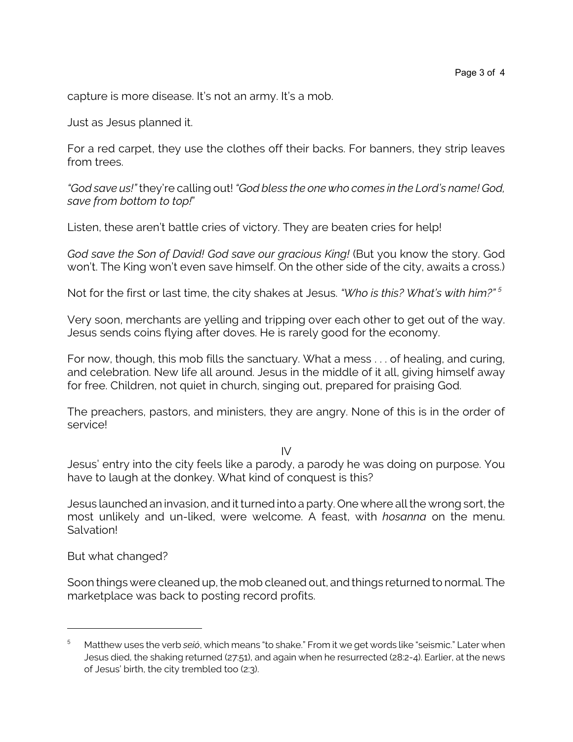capture is more disease. It's not an army. It's a mob.

Just as Jesus planned it.

For a red carpet, they use the clothes off their backs. For banners, they strip leaves from trees.

*"God save us!"* they're calling out! *"God bless the one who comes in the Lord's name! God, save from bottom to top!*"

Listen, these aren't battle cries of victory. They are beaten cries for help!

*God save the Son of David! God save our gracious King!* (But you know the story. God won't. The King won't even save himself. On the other side of the city, awaits a cross.)

Not for the first or last time, the city shakes at Jesus. *"Who is this? What's with him?" <sup>5</sup>*

Very soon, merchants are yelling and tripping over each other to get out of the way. Jesus sends coins flying after doves. He is rarely good for the economy.

For now, though, this mob fills the sanctuary. What a mess . . . of healing, and curing, and celebration. New life all around. Jesus in the middle of it all, giving himself away for free. Children, not quiet in church, singing out, prepared for praising God.

The preachers, pastors, and ministers, they are angry. None of this is in the order of service!

IV

Jesus' entry into the city feels like a parody, a parody he was doing on purpose. You have to laugh at the donkey. What kind of conquest is this?

Jesus launched an invasion, and it turned into a party. One where all the wrong sort, the most unlikely and un-liked, were welcome. A feast, with *hosanna* on the menu. **Salvation!** 

But what changed?

Soon things were cleaned up, the mob cleaned out, and things returned to normal. The marketplace was back to posting record profits.

<sup>5</sup> Matthew uses the verb *seió*, which means "to shake." From it we get words like "seismic." Later when Jesus died, the shaking returned (27:51), and again when he resurrected (28:2-4). Earlier, at the news of Jesus' birth, the city trembled too (2:3).